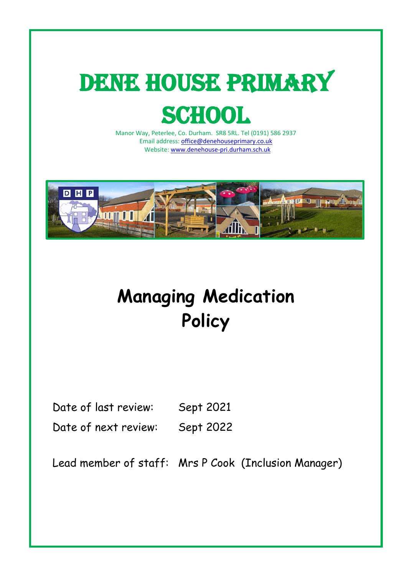# DENE HOUSE PRIMARY **SCHOOL**

Manor Way, Peterlee, Co. Durham. SR8 5RL. Tel (0191) 586 2937 Email address: [office@denehouseprimary.co.uk](mailto:office@denehouseprimary.co.uk) Website: [www.denehouse-pri.durham.sch.uk](http://www.denehouse-pri.durham.sch.uk/)



# **Managing Medication Policy**

Date of last review: Sept 2021

Date of next review: Sept 2022

Lead member of staff: Mrs P Cook (Inclusion Manager)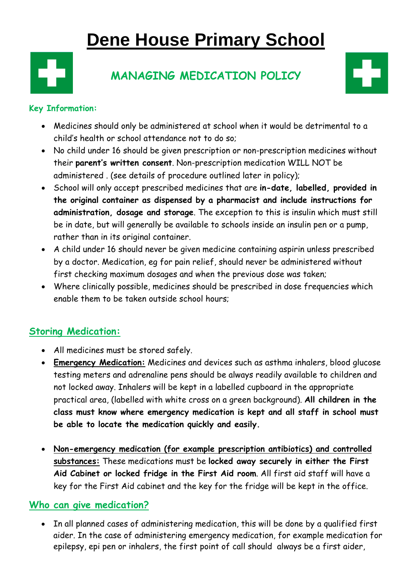## **Dene House Primary School**



### **MANAGING MEDICATION POLICY**



#### **Key Information:**

- Medicines should only be administered at school when it would be detrimental to a child's health or school attendance not to do so;
- No child under 16 should be given prescription or non-prescription medicines without their **parent's written consent**. Non-prescription medication WILL NOT be administered . (see details of procedure outlined later in policy);
- School will only accept prescribed medicines that are **in-date, labelled, provided in the original container as dispensed by a pharmacist and include instructions for administration, dosage and storage**. The exception to this is insulin which must still be in date, but will generally be available to schools inside an insulin pen or a pump, rather than in its original container.
- A child under 16 should never be given medicine containing aspirin unless prescribed by a doctor. Medication, eg for pain relief, should never be administered without first checking maximum dosages and when the previous dose was taken;
- Where clinically possible, medicines should be prescribed in dose frequencies which enable them to be taken outside school hours;

#### **Storing Medication:**

- All medicines must be stored safely.
- **Emergency Medication:** Medicines and devices such as asthma inhalers, blood glucose testing meters and adrenaline pens should be always readily available to children and not locked away. Inhalers will be kept in a labelled cupboard in the appropriate practical area, (labelled with white cross on a green background). **All children in the class must know where emergency medication is kept and all staff in school must be able to locate the medication quickly and easily.**
- **Non-emergency medication (for example prescription antibiotics) and controlled substances:** These medications must be **locked away securely in either the First Aid Cabinet or locked fridge in the First Aid room**. All first aid staff will have a key for the First Aid cabinet and the key for the fridge will be kept in the office.

#### **Who can give medication?**

• In all planned cases of administering medication, this will be done by a qualified first aider. In the case of administering emergency medication, for example medication for epilepsy, epi pen or inhalers, the first point of call should always be a first aider,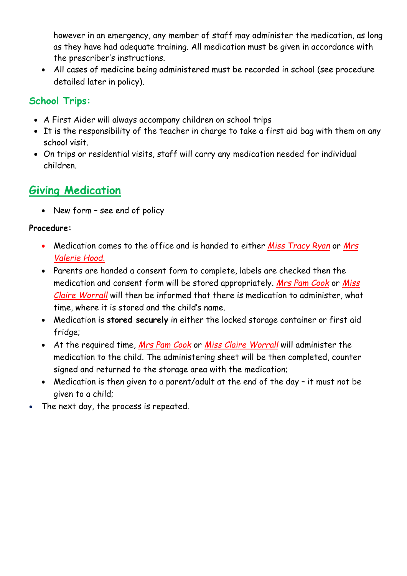however in an emergency, any member of staff may administer the medication, as long as they have had adequate training. All medication must be given in accordance with the prescriber's instructions.

• All cases of medicine being administered must be recorded in school (see procedure detailed later in policy).

#### **School Trips:**

- A First Aider will always accompany children on school trips
- It is the responsibility of the teacher in charge to take a first aid bag with them on any school visit.
- On trips or residential visits, staff will carry any medication needed for individual children.

### **Giving Medication**

• New form – see end of policy

#### **Procedure:**

- Medication comes to the office and is handed to either *Miss Tracy Ryan* or *Mrs Valerie Hood.*
- Parents are handed a consent form to complete, labels are checked then the medication and consent form will be stored appropriately. *Mrs Pam Cook* or *Miss Claire Worrall* will then be informed that there is medication to administer, what time, where it is stored and the child's name.
- Medication is **stored securely** in either the locked storage container or first aid fridge;
- At the required time, *Mrs Pam Cook* or *Miss Claire Worrall* will administer the medication to the child. The administering sheet will be then completed, counter signed and returned to the storage area with the medication;
- Medication is then given to a parent/adult at the end of the day it must not be given to a child;
- The next day, the process is repeated.